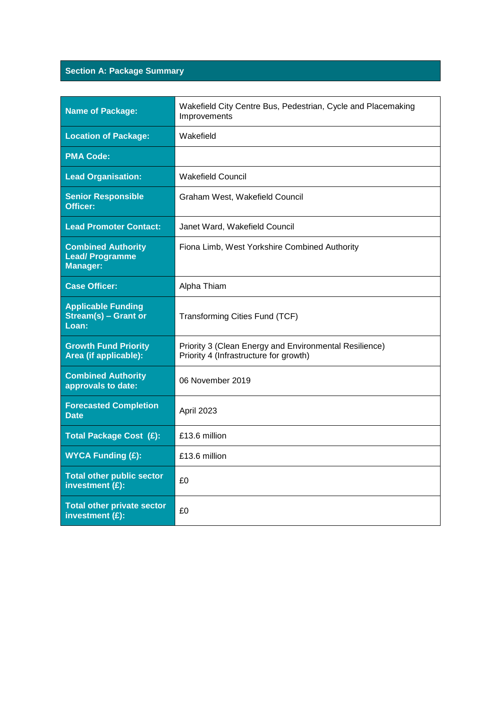# **Section A: Package Summary**

| Name of Package:                                                      | Wakefield City Centre Bus, Pedestrian, Cycle and Placemaking<br>Improvements                     |
|-----------------------------------------------------------------------|--------------------------------------------------------------------------------------------------|
| <b>Location of Package:</b>                                           | Wakefield                                                                                        |
| <b>PMA Code:</b>                                                      |                                                                                                  |
| <b>Lead Organisation:</b>                                             | <b>Wakefield Council</b>                                                                         |
| <b>Senior Responsible</b><br><b>Officer:</b>                          | Graham West, Wakefield Council                                                                   |
| <b>Lead Promoter Contact:</b>                                         | Janet Ward, Wakefield Council                                                                    |
| <b>Combined Authority</b><br><b>Lead/Programme</b><br><b>Manager:</b> | Fiona Limb, West Yorkshire Combined Authority                                                    |
| <b>Case Officer:</b>                                                  | Alpha Thiam                                                                                      |
| <b>Applicable Funding</b><br>Stream(s) - Grant or<br>Loan:            | Transforming Cities Fund (TCF)                                                                   |
| <b>Growth Fund Priority</b><br>Area (if applicable):                  | Priority 3 (Clean Energy and Environmental Resilience)<br>Priority 4 (Infrastructure for growth) |
| <b>Combined Authority</b><br>approvals to date:                       | 06 November 2019                                                                                 |
| <b>Forecasted Completion</b><br><b>Date</b>                           | April 2023                                                                                       |
| Total Package Cost (£):                                               | £13.6 million                                                                                    |
| <b>WYCA Funding (£):</b>                                              | £13.6 million                                                                                    |
| <b>Total other public sector</b><br>investment $(E)$ :                | £0                                                                                               |
| <b>Total other private sector</b><br>investment (£):                  | £0                                                                                               |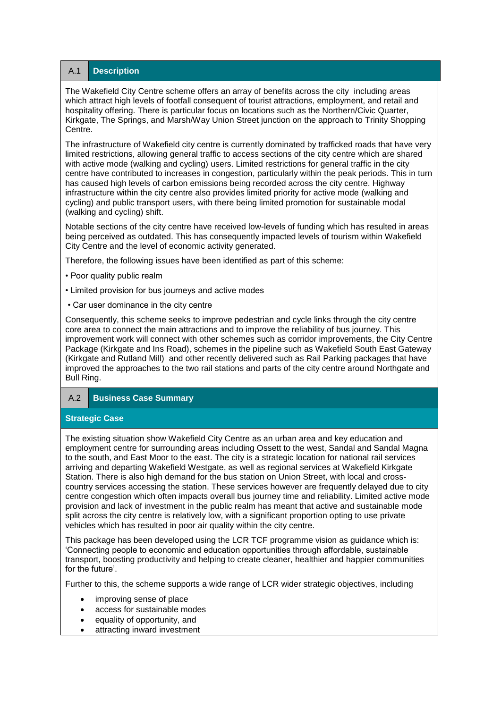A.1 **Description** 

The Wakefield City Centre scheme offers an array of benefits across the city including areas which attract high levels of footfall consequent of tourist attractions, employment, and retail and hospitality offering. There is particular focus on locations such as the Northern/Civic Quarter, Kirkgate, The Springs, and Marsh/Way Union Street junction on the approach to Trinity Shopping Centre.

The infrastructure of Wakefield city centre is currently dominated by trafficked roads that have very limited restrictions, allowing general traffic to access sections of the city centre which are shared with active mode (walking and cycling) users. Limited restrictions for general traffic in the city centre have contributed to increases in congestion, particularly within the peak periods. This in turn has caused high levels of carbon emissions being recorded across the city centre. Highway infrastructure within the city centre also provides limited priority for active mode (walking and cycling) and public transport users, with there being limited promotion for sustainable modal (walking and cycling) shift.

Notable sections of the city centre have received low-levels of funding which has resulted in areas being perceived as outdated. This has consequently impacted levels of tourism within Wakefield City Centre and the level of economic activity generated.

Therefore, the following issues have been identified as part of this scheme:

- Poor quality public realm
- Limited provision for bus journeys and active modes
- Car user dominance in the city centre

Consequently, this scheme seeks to improve pedestrian and cycle links through the city centre core area to connect the main attractions and to improve the reliability of bus journey. This improvement work will connect with other schemes such as corridor improvements, the City Centre Package (Kirkgate and Ins Road), schemes in the pipeline such as Wakefield South East Gateway (Kirkgate and Rutland Mill) and other recently delivered such as Rail Parking packages that have improved the approaches to the two rail stations and parts of the city centre around Northgate and Bull Ring.

A.2 **Business Case Summary**

# **Strategic Case**

The existing situation show Wakefield City Centre as an urban area and key education and employment centre for surrounding areas including Ossett to the west, Sandal and Sandal Magna to the south, and East Moor to the east. The city is a strategic location for national rail services arriving and departing Wakefield Westgate, as well as regional services at Wakefield Kirkgate Station. There is also high demand for the bus station on Union Street, with local and crosscountry services accessing the station. These services however are frequently delayed due to city centre congestion which often impacts overall bus journey time and reliability. Limited active mode provision and lack of investment in the public realm has meant that active and sustainable mode split across the city centre is relatively low, with a significant proportion opting to use private vehicles which has resulted in poor air quality within the city centre.

This package has been developed using the LCR TCF programme vision as guidance which is: 'Connecting people to economic and education opportunities through affordable, sustainable transport, boosting productivity and helping to create cleaner, healthier and happier communities for the future'.

Further to this, the scheme supports a wide range of LCR wider strategic objectives, including

- improving sense of place
- access for sustainable modes
- equality of opportunity, and
- attracting inward investment